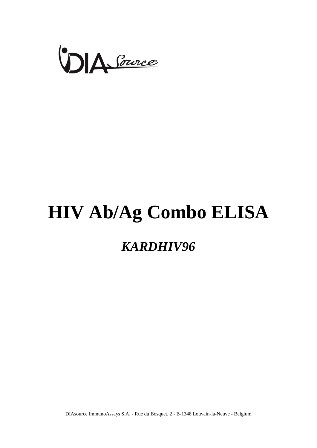

# **HIV Ab/Ag Combo ELISA**

# *KARDHIV96*

DIAsource ImmunoAssays S.A. - Rue du Bosquet, 2 - B-1348 Louvain-la-Neuve - Belgium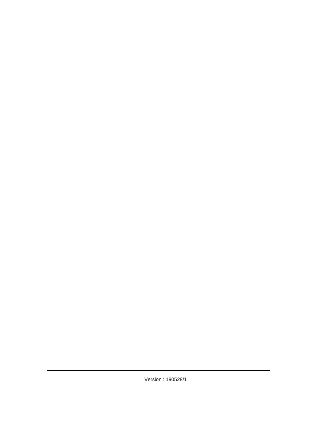Version : 190528/1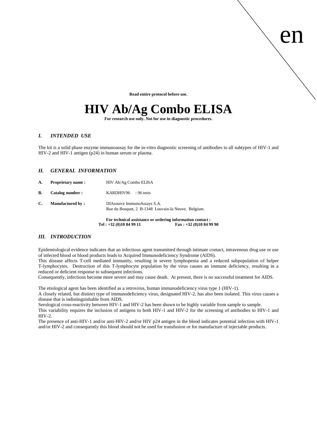**Read entire protocol before use.**

en

# **HIV Ab/Ag Combo ELISA**

**For research use only. Not for use in diagnostic procedures.**

# *I. INTENDED USE*

The kit is a solid phase enzyme immunoassay for the in-vitro diagnostic screening of antibodies to all subtypes of HIV-1 and HIV-2 and HIV-1 antigen (p24) in human serum or plasma.

# *II. GENERAL INFORMATION*

|    |                          | Tel: $+32(0)10849911$                                                              | For technical assistance or ordering information contact:<br>$\text{Fax}: +32(0)10849990$ |
|----|--------------------------|------------------------------------------------------------------------------------|-------------------------------------------------------------------------------------------|
| C. | <b>Manufactured by:</b>  | DIAsource ImmunoAssays S.A.<br>Rue du Bosquet, 2 B-1348 Louvain-la Neuve, Belgium. |                                                                                           |
| В. | Catalog number:          | KARDHIV96<br>$: 96$ tests                                                          |                                                                                           |
| A. | <b>Proprietary name:</b> | HIV Ab/Ag Combo ELISA                                                              |                                                                                           |

# *III. INTRODUCTION*

Epidemiological evidence indicates that an infectious agent transmitted through intimate contact, intravenous drug use or use of infected blood or blood products leads to Acquired Immunodeficiency Syndrome (AIDS).

This disease affects T-cell mediated immunity, resulting in severe lymphopenia and a reduced subpopulation of helper T-lymphocytes. Destruction of this T-lymphocyte population by the virus causes an immune deficiency, resulting in a reduced or deficient response to subsequent infections.

Consequently, infections become more severe and may cause death. At present, there is no successful treatment for AIDS.

The etiological agent has been identified as a retrovirus, human immunodeficiency virus type 1 (HIV-1).

A closely related, but distinct type of immunodeficiency virus, designated HIV-2, has also been isolated. This virus causes a disease that is indistinguishable from AIDS.

Serological cross-reactivity between HIV-1 and HIV-2 has been shown to be highly variable from sample to sample.

This variability requires the inclusion of antigens to both HIV-1 and HIV-2 for the screening of antibodies to HIV-1 and HIV-2.

The presence of anti-HIV-1 and/or anti-HIV-2 and/or HIV p24 antigen in the blood indicates potential infection with HIV-1 and/or HIV-2 and consequently this blood should not be used for transfusion or for manufacture of injectable products.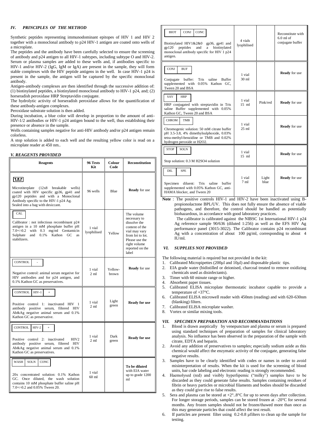### *IV. PRINCIPLES OF THE METHOD*

Synthetic peptides representing immunodominant epitopes of HIV 1 and HIV 2 together with a monoclonal antibody to p24 HIV-1 antigen are coated onto wells of a microplate.

The peptides and the antibody have been carefully selected to ensure the screening of antibody and p24 antigen to all HIV-1 subtypes, including subtype O and HIV-2. Serum or plasma samples are added to these wells and, if antibodies specific to HIV-1 and/or HIV-2 (IgG, IgM or IgA) are present in the sample, they will form stable complexes with the HIV peptide antigens in the well. In case HIV-1 p24 is present in the sample, the antigen will be captured by the specific monoclonal antibody.

Antigen-antibody complexes are then identified through the successive addition of: (1) biotinylated peptides, a biotinylated monoclonal antibody to HIV-1 p24, and; (2) horseradish peroxidase HRP Streptavidin conjugate.

The hydrolytic activity of horseradish peroxidase allows for the quantification of these antibody-antigen complexes.

Peroxidase substrate solution is then added.

During incubation, a blue color will develop in proportion to the amount of anti-HIV-1/2 antibodies or HIV-1 p24 antigen bound to the well, thus establishing their presence or absence in the sample.

Wells containing samples negative for anti-HIV antibody and/or p24 antigen remain colorless.

A stop solution is added to each well and the resulting yellow color is read on a microplate reader at 450 nm..

#### *V. REAGENTS PROVIDED*

| <b>Reagents</b>                                                                                                                                                                                                         | 96 Tests<br>Kit          | Colour<br>Code   | <b>Reconstitution</b>                                                                                                                                           |
|-------------------------------------------------------------------------------------------------------------------------------------------------------------------------------------------------------------------------|--------------------------|------------------|-----------------------------------------------------------------------------------------------------------------------------------------------------------------|
| īш<br>Microtiterplate<br>(12x8<br>breakable<br>wells)<br>coated with HIV specific gp36, gp41 and<br>gp120 peptides and with a Monoclonal<br>Antibody specific to the HIV-1 p24 Ag.<br>Sealed into a bag with desiccant. | 96 wells                 | <b>Blue</b>      | <b>Ready</b> for use                                                                                                                                            |
| CAL<br>Calibrator: not infectious recombinant p24<br>antigen in a 10 mM phosphate buffer pH<br>with 0.3 mg/ml Gentamicin<br>$7.0 + (-0.2)$<br>0.1%<br>Kathon<br>Sulphate<br>and<br>GC.<br>as<br>stabilizers.            | 1 vial<br>lyophilised    | Yellow           | The volume<br>necessary to<br>dissolve the<br>content of the<br>vial may vary<br>from lot to lot.<br>Please use the<br>right volume<br>reported on the<br>label |
| CONTROL<br>L,<br>Negative control: animal serum negative for<br>HIV antibodies and for p24 antigen, and<br>0.1% Kathon GC as preservatives.                                                                             | 1 vial<br>$2 \text{ ml}$ | Yellow-<br>brown | <b>Ready</b> for use                                                                                                                                            |
| <b>CONTROL</b><br>$HIV-1$<br>$\ddot{}$<br>Positive control 1: inactivated HIV 1<br>antibody positive serum, filtered HIV<br>Ab&Ag negative animal serum and 0.1%<br>Kathon GC as preservative.                          | 1 vial<br>$2 \text{ ml}$ | Light<br>green   | <b>Ready for use</b>                                                                                                                                            |
| <b>CONTROL</b><br>$HIV-2$<br>$\ddot{}$<br>Positive control 2: inactivated<br>HIV <sub>2</sub><br>antibody positive serum, filtered HIV<br>Ab&Ag negative animal serum and 0.1%<br>Kathon GC as preservatives.           | 1 vial<br>$2 \text{ ml}$ | Dark<br>green    | <b>Ready for use</b>                                                                                                                                            |
| <b>SOLN</b><br><b>WASH</b><br>CONC<br>20x concentrated solution: 0.1% Kathon<br>GC. Once diluted, the wash solution<br>contains 10 mM phosphate buffer saline pH<br>7.0+/-0.2 and 0.05% Tween 20.                       | 1 vial<br>$60$ ml        |                  | To be diluted<br>with EIA water<br>up to grade 1200<br>ml                                                                                                       |

| <b>CONJ</b><br><b>BIOT</b><br>CONC<br>Biotinylated HIV1&2&0<br>$gp36$ , $gp41$ and<br>gp120<br>peptides<br>and<br>biotinylated<br>a<br>monoclonal antibody specific for HIV 1 p24<br>antigen. | 4 vials<br>lyophilised    |               | Reconstitute with<br>$6.0$ ml of<br>conjugate buffer |
|-----------------------------------------------------------------------------------------------------------------------------------------------------------------------------------------------|---------------------------|---------------|------------------------------------------------------|
| <b>CONJ</b><br><b>BUF</b><br>buffer:<br>Conjugate<br><b>Tris</b><br>saline<br><b>Buffer</b><br>supplemented with 0.05%<br>Kathon GC.<br>Tween 20 and BSA                                      | 1 vial<br>30 ml           |               | <b>Ready</b> for use                                 |
| SAV<br><b>HRP</b><br>HRP conjugated with streptavidin in Tris<br>saline Buffer supplemented with 0.05%<br>Kathon GC, Tween 20 and BSA                                                         | 1 vial<br>$15 \text{ ml}$ | Pink/red      | <b>Ready</b> for use                                 |
| <b>CHROM</b><br><b>TMB</b><br>Chromogenic solution: 50 mM citrate buffer<br>pH 3.5-3.8, 4% dimethylsulphoxide, 0.03%<br>tetra-methyl-benzidine or TMB and 0.02%<br>hydrogen peroxide or H2O2. | 1 vial<br>$25$ ml         |               | <b>Ready</b> for use                                 |
| <b>STOP</b><br><b>SOLN</b><br>Stop solution: 0.3 M H2SO4 solution                                                                                                                             | 1 vial<br>$15 \text{ ml}$ |               | <b>Ready</b> for use                                 |
| DIL<br><b>SPE</b><br>diluent:<br><b>Tris</b><br>Specimen<br>saline<br>buffer<br>supplemented with 0.05% Kathon GC, anti-<br>HAMA blocker, and Tween 20                                        | 1 vial<br>$7 \text{ ml}$  | Light<br>blue | <b>Ready</b> for use                                 |

Note : The positive controls HIV-1 and HIV-2 have been inactivated using Bpropionolactone BPL/UV. This does not fully ensure the absence of viable pathogens, and therefore, the control should be handled as potentially biohazardous, in accordance with good laboratory practices.

The calibrator is calibrated against the NIBSC 1st International HIV-1 p24 Ag reference sample 90/636 (diluted 1:256) as well as the EFS HIV Ag performance panel (3015-3022). The Calibrator contains p24 recombinant Ag with a concentration of about 100 pg/ml, corresponding to about 4  $II$   $J$ /ml.

#### *VI. SUPPLIES NOT PROVIDED*

The following material is required but not provided in the kit:

- 1. Calibrated Micropipettes (200µl and 10µl) and disposable plastic tips.
- 2. EIA grade water (bidistilled or deionised, charcoal treated to remove oxidizing chemicals used as disinfectants).
- 3. Timer with 60 minute range or higher.
- 4. Absorbent paper tissues.
- 5. Calibrated ELISA microplate thermostatic incubator capable to provide a temperature of +37°C.
- 6. Calibrated ELISA microwell reader with 450nm (reading) and with 620-630nm (blanking) filters.
- 7. Calibrated ELISA microplate washer.
- 8. Vortex or similar mixing tools.

#### *VII. SPECIMEN PREPARATION AND RECOMMANDATIONS*

- 1. Blood is drawn aseptically by venepuncture and plasma or serum is prepared using standard techniques of preparation of samples for clinical laboratory analysis. No influence has been observed in the preparation of the sample with citrate, EDTA and heparin.
- 2. Avoid any addition of preservatives to samples; especially sodium azide as this chemical would affect the enzymatic activity of the conjugate, generating false negative results.
- 3. Samples have to be clearly identified with codes or names in order to avoid misinterpretation of results. When the kit is used for the screening of blood units, bar code labeling and electronic reading is strongly recommended.
- 4. Haemolysed (red) and visibly hyperlipemic ("milky") samples have to be discarded as they could generate false results. Samples containing residues of fibrin or heavy particles or microbial filaments and bodies should be discarded as they could give rise to false results.
- 5. Sera and plasma can be stored at  $+2^{\circ}$ ..8°C for up to seven days after collection. For longer storage periods, samples can be stored frozen at –20°C for several months. Any frozen samples should not be frozen/thawed more than once as this may generate particles that could affect the test result.
- 6. If particles are present filter using 0.2-0.8 µfilters to clean up the sample for testing.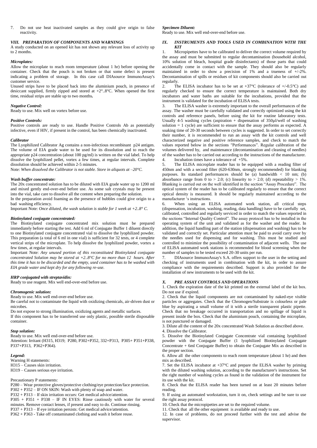7. Do not use heat inactivated samples as they could give origin to false reactivity.

# *VIII. PREPARATION OF COMPONENTS AND WARNINGS*

A study conducted on an opened kit has not shown any relevant loss of activity up to 2 months.

#### *Microplates:*

Allow the microplate to reach room temperature (about 1 hr) before opening the container. Check that the pouch is not broken or that some defect is present indicating a problem of storage. In this case call DIAsource ImmunoAssay's customer service.

Unused strips have to be placed back into the aluminium pouch, in presence of desiccant supplied, firmly zipped and stored at  $+2^{\circ}$ ..8°C. When opened the first time, residual strips are stable up to two months*.* 

#### *Negative Control:*

Ready to use. Mix well on vortex before use.

#### *Positive Controls:*

Positive controls are ready to use. Handle Positive Controls Ab as potentially infective, even if HIV, if present in the control, has been chemically inactivated.

#### *Calibrator*

The Lyophilized Calibrator Ag contains a non-infectious recombinant p24 antigen. The volume of EIA grade water to be used for its dissolution and to reach the appropriate p24 concentration (about 100 pg/ml) is written on the vial label. To help dissolve the lyophilized pellet, vortex a few times, at regular intervals. Complete dissolution should be achieved within 2-5 minutes.

Note: *When dissolved the Calibrator is not stable. Store in aliquots at –20°C.*

#### *Wash buffer concentrate:*

The 20x concentrated solution has to be diluted with EIA grade water up to 1200 ml and mixed gently end-over-end before use. As some salt crystals may be present into the vial, take care to dissolve all the content when preparing the solution.

In the preparation avoid foaming as the presence of bubbles could give origin to a bad washing efficiency.

Important Note: *Once diluted, the wash solution is stable for 1 week at +2..8° C.*

#### *Biotinylated conjugate concentrated:*

The Biotinylated conjugate concentrated mix solution must be prepared immediately before starting the test. Add 6 ml of Conjugate Buffer 1 diluent directly to one Biotinylated conjugate concentrated vial to dissolve the lyophilized powder. This preparation (a total of 6 ml in one vial) is sufficient for 32 tests, or 4 complete vertical strips of the microplate. To help dissolve the lyophilized powder, vortex a few times, at regular intervals.

Important Note: *Any unused portion of this reconstituted Biotinylated conjugate concentrated Solution may be stored at +2..8°C for no more than 12 hours. After this time it has to be discarded and the empty, used container has to be washed with EIA grade water and kept dry for any following re-use.*

#### *HRP conjugated with streptavidin:*

Ready to use reagent. Mix well end-over-end before use.

#### *Chromogenic solution:*

Ready to use. Mix well end-over-end before use.

Be careful not to contaminate the liquid with oxidizing chemicals, air-driven dust or microbes.

Do not expose to strong illumination, oxidizing agents and metallic surfaces.

If this component has to be transferred use only plastic, possible sterile disposable container.

#### *Stop solution:*

Ready to use. Mix well end-over-end before use.

Attention: Irritant (H315, H319; P280, P302+P352, 332+P313, P305+ P351+P338, P337+P313, P362+P364).

#### *Legend:*

Warning H statements: H315 – Causes skin irritation. H319 – Causes serious eye irritation.

#### Precautionary P statements:

P280 – Wear protective gloves/protective clothing/eye protection/face protection. P302 + P352 – IF ON SKIN: Wash with plenty of soap and water. P332 + P313 – If skin irritation occurs: Get medical advice/attention. P305 + P351 + P338 – IF IN EYES: Rinse cautiously with water for several minutes. Remove contact lenses, if present and easy to do. Continue rinsing. P337 + P313 – If eye irritation persists: Get medical advice/attention.

P362 + P363 - Take off contaminated clothing and wash it before reuse.

#### *Specimen Diluent:*

Ready to use. Mix well end-over-end before use.

#### *IX. INSTRUMENTS AND TOOLS USED IN COMBINATION WITH THE KIT*

1. Micropipettes have to be calibrated to deliver the correct volume required by the assay and must be submitted to regular decontamination (household alcohol, 10% solution of bleach, hospital grade disinfectants) of those parts that could accidentally come in contact with the sample. They should also be regularly maintained in order to show a precision of 1% and a trueness of +/-2%. Decontamination of spills or residues of kit components should also be carried out regularly.

2. The ELISA incubator has to be set at  $+37^{\circ}$ C (tolerance of  $+/-0.5^{\circ}$ C) and regularly checked to ensure the correct temperature is maintained. Both dry incubators and water baths are suitable for the incubations, provided that the instrument is validated for the incubation of ELISA tests.

3. The ELISA washer is extremely important to the overall performances of the assay. The washer must be carefully validated and correctly optimized using the kit controls and reference panels, before using the kit for routine laboratory tests. Usually 4-5 washing cycles (aspiration + dispensation of  $350\mu$ l/well of washing solution  $= 1$  cycle) are sufficient to ensure that the assay performs as expected. A soaking time of 20-30 seconds between cycles is suggested. In order to set correctly their number, it is recommended to run an assay with the kit controls and well characterized negative and positive reference samples, and check to match the values reported below in the sections "Performances". Regular calibration of the volumes delivered by, and maintenance (decontamination and cleaning of needles) of the washer has to be carried out according to the instructions of the manufacturer.<br>4. Incubation times have a tolerance of  $+5\%$ . Incubation times have a tolerance of  $+5\%$ .

5. The ELISA microplate reader has to be equipped with a reading filter of 450nm and with a second filter (620-630nm, strongly recommended) for blanking purposes. Its standard performances should be (a) bandwidth < 10 nm; (b) absorbance range from  $\dot{0}$  to > 2.0; (c) linearity to > 2.0; (d) repeatability > 1%. Blanking is carried out on the well identified in the section "Assay Procedure". The optical system of the reader has to be calibrated regularly to ensure that the correct optical density is measured. It should be regularly maintained according to the manufacturer 's instructions.

6. When using an ELISA automated work station, all critical steps (dispensation, incubation, washing, reading, data handling) have to be carefully set, calibrated, controlled and regularly serviced in order to match the values reported in the sections "Internal Quality Control". The assay protocol has to be installed in the operating system of the unit and validated as for the washer and the reader. In addition, the liquid handling part of the station (dispensation and washing) has to be validated and correctly set. Particular attention must be paid to avoid carry over by the needles used for dispensing and for washing. This must be studied and controlled to minimize the possibility of contamination of adjacent wells. The use of ELISA automated work stations is recommended for blood screening when the number of samples to be tested exceed 20-30 units per run.

7. DIAsource ImmunoAssay's S.A. offers support to the user in the setting and checking of instruments used in combination with the kit, in order to assure compliance with the requirements described. Support is also provided for the installation of new instruments to be used with the kit.

#### *X. PRE ASSAY CONTROLS AND OPERATIONS*

1. Check the expiration date of the kit printed on the external label of the kit box. Do not use if expired.

2. Check that the liquid components are not contaminated by naked-eye visible particles or aggregates. Check that the Chromogen/Substrate is colourless or pale blue by aspirating a small volume of it with a sterile transparent plastic pipette. Check that no breakage occurred in transportation and no spillage of liquid is present inside the box. Check that the aluminium pouch, containing the microplate, is not punctured or damaged.

3. Dilute all the content of the 20x concentrated Wash Solution as described above.

4. Dissolve the Calibrator.

5. Dissolve the Biotinylated Conjugate Concentrate vial containing lyophilized powder with the Conjugate Buffer (1 lyophilized Biotinylated Conjugate Concentrate + 6ml Conjugate Buffer) to obtain the Conjugate Mix as described in the proper section.

6. Allow all the other components to reach room temperature (about 1 hr) and then mix as described.

7. Set the ELISA incubator at +37°C and prepare the ELISA washer by priming with the diluted washing solution, according to the manufacturer's instructions. Set the right number of washing cycles as found in the validation of the instrument for its use with the kit.

8. Check that the ELISA reader has been turned on at least 20 minutes before reading.

9. If using an automated workstation, turn it on, check settings and be sure to use the right assay protocol.

10. Check that the micropipettes are set to the required volume.

11. Check that all the other equipment is available and ready to use.

12. In case of problems, do not proceed further with the test and advise the supervisor.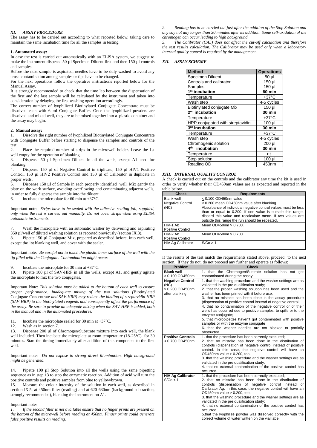#### *XI. ASSAY PROCEDURE*

The assay has to be carried out according to what reported below, taking care to maintain the same incubation time for all the samples in testing.

#### **1. Automated assay:**

In case the test is carried out automatically with an ELISA system, we suggest to make the instrument dispense 50  $\mu$ l Specimen Diluent first and then 150  $\mu$ l controls and samples.

Before the next sample is aspirated, needles have to be duly washed to avoid any cross-contamination among samples or tips have to be changed.

For the next operations follow the operative instructions reported below for the Manual Assay.

It is strongly recommended to check that the time lap between the dispensation of the first and the last sample will be calculated by the instrument and taken into consideration by delaying the first washing operation accordingly.

The correct number of lyophilized Biotinylated Conjugate Concentrate must be dissolved each with 6 ml Conjugate Buffer. Once the lyophilized powders are dissolved and mixed well, they are to be mixed together into a plastic container and the assay may begin.

#### **2. Manual assay:**

1. Dissolve the right number of lyophilized Biotinylated Conjugate Concentrate with Conjugate Buffer before starting to dispense the samples and controls of the test.<br>2.

Place the required number of strips in the microwell holder. Leave the 1st well empty for the operation of blanking.<br>3. Dispense 50 ul Specimen Dilue

3. Dispense 50 µl Specimen Diluent in all the wells, except A1 used for blanking.

4. Dispense 150 µl of Negative Control in triplicate, 150 µl HIV1 Positive Control, 150 µl HIV2 Positive Control and 150 µl of Calibrator in duplicate in proper wells.<br> $5.$  Disper-

5. Dispense 150 µl of Sample in each properly identified well. Mix gently the plate on the work surface, avoiding overflowing and contaminating adjacent wells, in order to fully disperse the sample into the diluent.

6. Incubate the microplate for 60 min at  $+37^{\circ}$ C.

Important note: *Strips have to be sealed with the adhesive sealing foil, supplied, only when the test is carried out manually. Do not cover strips when using ELISA automatic instruments.*

Wash the microplate with an automatic washer by delivering and aspirating  $350 \mu$ l/well of diluted washing solution as reported previously (section IX.3).

8. Pipette 150 µl Conjugate Mix, prepared as described before, into each well, except the 1st blanking well, and cover with the sealer.

Important note: *Be careful not to touch the plastic inner surface of the well with the tip filled with the Conjugate. Contamination might occur.*

9. Incubate the microplate for 30 min at  $+37^{\circ}$ C.<br>10 Pinette 100 ul of SAV-HRP in all the wells

Pipette 100 µl of SAV-HRP in all the wells, except A1, and gently agitate the microplate to mix the two conjugates.

Important Note: *This solution must be added to the bottom of each well to ensure proper performance. Inadequate mixing of the two solutions (*Biotinylated Conjugate Concentrate *and SAV-HRP) may reduce the binding of streptavidin HRP (SAV-HRP) to the biotinylated reagents and consequently affect the performance of the assay. Be sure to provide an adequate mixing when the SAV-HRP is added, both in the manual and in the automated procedures.*

11. Incubate the microplate sealed for 30 min at +37°C.

12. Wash as in section 7.

13. Dispense 200 µl of Chromogen/Substrate mixture into each well, the blank well included. Then incubate the microplate at room temperature (18-25°C) for 30 minutes. Start the timing immediately after addition of this component to the first well.

Important note: *Do not expose to strong direct illumination. High background might be generated.*

14. Pipette 100 µl Stop Solution into all the wells using the same pipetting sequence as in step 13 to stop the enzymatic reaction. Addition of acid will turn the positive controls and positive samples from blue to yellow/brown.

15. Measure the colour intensity of the solution in each well, as described in section IX.5, at 450nm filter (reading) and at 620-630nm (background subtraction, strongly recommended), blanking the instrument on A1.

#### Important notes:

*1. If the second filter is not available ensure that no finger prints are present on the bottom of the microwell before reading at 450nm. Finger prints could generate false positive results on reading.*

*2. Reading has to be carried out just after the addition of the Stop Solution and anyway not any longer than 30 minutes after its addition. Some self-oxidation of the chromogen can occur leading to high background.* 

*3. The Calibrator (CAL) does not affect the cut-off calculation and therefore the test results calculation. The Calibrator may be used only when a laboratory internal quality control is required by the management.*

#### *XII. ASSAY SCHEME*

| <b>Method</b>                    | <b>Operations</b> |
|----------------------------------|-------------------|
| Specimen Diluent                 | 50 <sub>µ</sub>   |
| Controls and calibrator          | 150 µl            |
| Samples                          | 150 µl            |
| 1 <sup>st</sup> incubation       | <b>60 min</b>     |
| Temperature                      | $+37^{\circ}$ C   |
| Wash step                        | 4-5 cycles        |
| Biotinylated conjugate Mix       | 150 µl            |
| 2 <sup>nd</sup> incubation       | <b>30 min</b>     |
| Temperature                      | $+37^{\circ}$ C   |
| HRP conjugated with streptavidin | $100$ $\mu$       |
| 3 <sup>rd</sup> incubation       | <b>30 min</b>     |
| Temperature                      | $+37^{\circ}$ C   |
| Wash step                        | 4-5 cycles        |
| Chromogenic solution             | 200 µl            |
| ⊿th<br>incubation                | <b>30 min</b>     |
| Temperature                      | r.t.              |
| Stop solution                    | $100$ $\mu$       |
| Reading OD                       | 450nm             |

#### *XIII. INTERNAL QUALITY CONTROL*

A check is carried out on the controls and the calibrator any time the kit is used in order to verify whether their OD450nm values are as expected and reported in the table below.

| <b>Check</b>                    | <b>Requirements</b>                                                                                                                                                                                                                                                                       |
|---------------------------------|-------------------------------------------------------------------------------------------------------------------------------------------------------------------------------------------------------------------------------------------------------------------------------------------|
| <b>Blank well</b>               | $< 0.100$ OD450nm value                                                                                                                                                                                                                                                                   |
| <b>Negative Control</b><br>(NC) | < 0.200 mean OD450nm value after blanking<br>Absorbance of individual negative control values must be less<br>than or equal to 0.200. If one value is outside this range,<br>discard this value and recalculate mean. If two values are<br>outside this range the run should be repeated. |
| HIV-1 Ab<br>Positive Control    | Mean OD450nm > 0.700.                                                                                                                                                                                                                                                                     |
| $HIV-2$ Ab<br>Positive Control  | Mean OD450nm > 0.700.                                                                                                                                                                                                                                                                     |
| HIV Ag Calibrator               | S/Co > 1                                                                                                                                                                                                                                                                                  |

| If the results of the test match the requirements stated above, proceed to the next |  |
|-------------------------------------------------------------------------------------|--|
| section. If they do not, do not proceed any further and operate as follows:         |  |

| Problem                                                              | <b>Check</b>                                                                                                                                                                                                                                                                                                                                                                                                                                                                                                                                                                                                                                                                                |  |  |  |  |  |
|----------------------------------------------------------------------|---------------------------------------------------------------------------------------------------------------------------------------------------------------------------------------------------------------------------------------------------------------------------------------------------------------------------------------------------------------------------------------------------------------------------------------------------------------------------------------------------------------------------------------------------------------------------------------------------------------------------------------------------------------------------------------------|--|--|--|--|--|
| <b>Blank well</b><br>> 0.100 OD450nm                                 | 1. that the Chromogen/Sustrate solution has not got<br>contaminated during the assay                                                                                                                                                                                                                                                                                                                                                                                                                                                                                                                                                                                                        |  |  |  |  |  |
| <b>Negative Control</b><br>(NC)<br>> 0.200 OD450nm<br>after blanking | 1. that the washing procedure and the washer settings are as<br>validated in the pre qualification study;<br>2. that the proper washing solution has been used and the<br>washer has been primed with it before use;<br>3. that no mistake has been done in the assay procedure<br>(dispensation of positive control instead of negative control;<br>4. that no contamination of the negative control or of their<br>wells has occurred due to positive samples, to spills or to the<br>enzyme conjugate;<br>5. that micropipettes haven't got contaminated with positive<br>samples or with the enzyme conjugate<br>6. that the washer needles are not blocked or partially<br>obstructed. |  |  |  |  |  |
| <b>Positive Controls</b><br>$< 0.700$ OD450nm                        | 1. that the procedure has been correctly executed;<br>2. that no mistake has been done in the distribution of<br>controls (dispensation of negative control instead of positive<br>control. In this case, the negative control will have an<br>OD450nm value > 0.200, too.<br>3. that the washing procedure and the washer settings are as<br>validated in the pre qualification study;<br>4. that no external contamination of the positive control has<br>occurred.                                                                                                                                                                                                                       |  |  |  |  |  |
| <b>HIV Ag Calibrator</b><br>S/Co < 1                                 | 1. that the procedure has been correctly executed;<br>2. that no mistake has been done in the distribution of<br>controls (dispensation of negative control instead of<br>Calibrator Ag. In this case, the negative control will have an<br>OD450nm value > 0.200, too.<br>3. that the washing procedure and the washer settings are as<br>validated in the pre qualification study;<br>4. that no external contamination of the positive control has<br>occurred.<br>5.that the lyophilize powder was dissolved correctly with the<br>correct volume of water written on the vial label.                                                                                                   |  |  |  |  |  |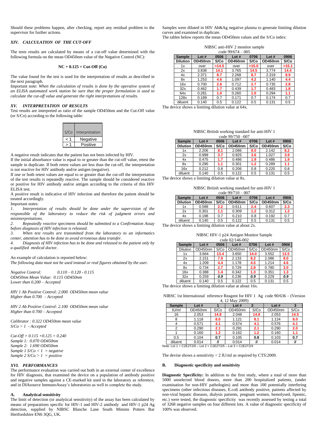Should these problems happen, after checking, report any residual problem to the supervisor for further actions.

# *XIV. CALCULATION OF THE CUT-OFF*

The tests results are calculated by means of a cut-off value determined with the following formula on the mean OD450nm value of the Negative Control (NC):

#### **NC + 0.125 = Cut-Off (Co)**

The value found for the test is used for the interpretation of results as described in the next paragraph.

Important note: *When the calculation of results is done by the operative system of an ELISA automated work station be sure that the proper formulation is used to calculate the cut-off value and generate the right interpretations of results.*

#### *XV. INTERPRETATION OF RESULTS*

Test results are interpreted as ratio of the sample OD450nm and the Cut-Off value (or S/Co) according to the following table:

| S/Co | Interpretation |
|------|----------------|
|      | Negative       |
|      | Positive       |

A negative result indicates that the patient has not been infected by HIV.

If the initial absorbance value is equal to or greater than the cut-off value, retest the sample in duplicate. If both retest values are less than the cut-off, the interpretation is not reactive for HIV antibody and/or antigen (negative).

If one or both retest values are equal to or greater than the cut-off the interpretation of the test results is repeatedly reactive. The sample should be considered reactive or positive for HIV antibody and/or antigen according to the criteria of this HIV ELISA test.

A positive result is indicative of HIV infection and therefore the patient should be treated accordingly.

Important notes:

*1. Interpretation of results should be done under the supervision of the responsible of the laboratory to reduce the risk of judgment errors and misinterpretations.*

*2. Repeatedly reactive specimens should be submitted to a Confirmation Assay before diagnosis of HIV infection is released.*

*3. When test results are transmitted from the laboratory to an informatics center, attention has to be done to avoid erroneous data transfer.*

*4. Diagnosis of HIV infection has to be done and released to the patient only by a qualified medical doctor.* 

#### An example of calculation is reported below:

*The following data must not be used instead or real figures obtained by the user.*

*Negative Control: 0.110 – 0.120 - 0.115 OD450nm Mean Value: 0.115 OD450nm Lower than 0.200 – Accepted*

*HIV 1 Ab Positive Control: 2.000 OD450nm mean value Higher than 0.700 – Accepted*

*HIV 2 Ab Positive Control: 2.100 OD450nm mean value Higher than 0.700 – Accepted*

*Calibrator : 0.322 OD450nm mean value S/Co > 1 - Accepted*

*Cut-Off = 0.115 +0.125 = 0.240 Sample 1: 0.070 OD450nm Sample 2: 1.690 OD450nm Sample 1 S/Co < 1 = negative Sample 2 S/Co > 1 = positive* 

#### *XVI. PERFORMANCES*

The performance evaluation was carried out both in an external center of excellence for HIV diagnosis, that examined the device on a population of antibody positive and negative samples against a CE-marked kit used in the laboratory as reference, and in DIAsource ImmunoAssay's laboratories as well to complete the study.

#### **A. Analytical sensitivity**

The limit of detection (or analytical sensitivity) of the assay has been calculated by means of preparations specific for HIV-1 and HIV-2 antibody and HIV-1 p24 Ag detection, supplied by NIBSC Blanche Lane South Mimms Potters Bar Hertfordshire EN6 3QG, UK.

Samples were diluted in HIV Ab&Ag negative plasma to generate limiting dilution curves and examined in duplicate.

The tables below reports the mean OD450nm values and the S/Co index:

| NIBSC anti-HIV 2 monitor sample |  |
|---------------------------------|--|
| code $99/674 - 005$             |  |

| <b>Sample</b>   | Lot#    | 0506  | Lot#    | 0706  | Lot $#$ | 0906  |
|-----------------|---------|-------|---------|-------|---------|-------|
| <b>Dilution</b> | OD450nm | S/Co  | OD450nm | S/Co  | OD450nm | S/Co  |
| 1x              | over    | >14.5 | over    | >15.0 | over    | >15.1 |
| 2x              | 3.838   | 14.1  | 3.765   | 14.5  | 3.774   | 14.4  |
| 4x              | 2.371   | 8.7   | 2.268   | 8.7   | 2.319   | 8.9   |
| 8x              | 1.253   | 4.6   | 1.097   | 4.2   | 1.140   | 4.4   |
| 16x             | 0.700   | 2.6   | 0.712   | 2.7   | 0.735   | 2.8   |
| 32x             | 0.462   | 1.7   | 0.439   | 1.7   | 0.483   | 1.8   |
| 64x             | 0.281   | 1.0   | 0.260   | 1.0   | 0.294   | 1.1   |
| 128x            | 0.189   | 0.7   | 0.171   | 0.7   | 0.174   | 0.7   |
| diluent         | 0.140   | 0.5   | 0.122   | 0.5   | 0.131   | 0.5   |

The device shows a limiting dilution value at 64x.

| NIBSC British working standard for anti-HIV 1 |
|-----------------------------------------------|
|                                               |

| $0.000 \times 10^{11} \times 10^{-10} \text{V}$ |         |      |         |                  |         |      |
|-------------------------------------------------|---------|------|---------|------------------|---------|------|
| <b>Sample</b>                                   | Lot#    | 0506 | Lot $#$ | 0706             | Lot#    | 0906 |
| <b>Dilution</b>                                 | OD450nm | S/Co | OD450nm | S/Co             | OD450nm | S/Co |
| 1x                                              | 2.206   | 8.1  | 2.086   | 8.0              | 2.142   | 8.2  |
| 2x                                              | 0.999   | 3.7  | 0.925   | 3.6 <sub>2</sub> | 1.027   | 3.9  |
| 4x                                              | 0.475   | 1.7  | 0.486   | 1.9              | 0.486   | 1.9  |
| 8x                                              | 0.295   | 1.1  | 0.301   | 1.2              | 0.289   | 1.1  |
| 16x                                             | 0.212   | 0.8  | 0.206   | 0.8              | 0.220   | 0.8  |
| diluent                                         | 0.140   | 0.5  | 0.122   | 0.5              | 0.131   | 0.5  |

The device shows a limiting dilution value at 8x.

| NIBSC British working standard for anti-HIV 1 |
|-----------------------------------------------|
| code $99/710 - 007$                           |

|                 | $0.000 \times 10^{11}$ |                  |         |      |         |      |  |
|-----------------|------------------------|------------------|---------|------|---------|------|--|
| <b>Sample</b>   | Lot#                   | 0506             | Lot#    | 0706 | Lot#    | 0906 |  |
| <b>Dilution</b> | OD450nm                | S/Co             | OD450nm | S/Co | OD450nm | S/Co |  |
| 1x              | 0.588                  | $2.2\phantom{0}$ | 0.611   | 2.4  | 0.607   | 2.3  |  |
| 2x              | 0.301                  | 1.1              | 0.309   | 1.2  | 0.312   | 1.2  |  |
| 4x              | 0.198                  | 0.7              | 0.210   | 0.8  | 0.192   | 0.7  |  |
| diluent         | 0.140                  | 0.5              | 0.122   | 0.5  | 0.131   | 0.5  |  |

The device shows a limiting dilution value at about 2x.

| NIBSC HIV-1 p24 Antigen Monitor Sample |
|----------------------------------------|
| code $02/146 - 002$                    |

| <b>Sample</b>   | Lot#    | 0506 | Lot $#$ | 0706 | Lot $#$ | 0906 |
|-----------------|---------|------|---------|------|---------|------|
| <b>Dilution</b> | OD450nm | S/Co | OD450nm | S/Co | OD450nm | S/Co |
| 1x              | 3.664   | 13.4 | 3.650   | 14.0 | 3.552   | 13.5 |
| 2x              | 2.151   | 7.9  | 2.133   | 8.2  | 2.086   | 8.0  |
| 4x              | 1.209   | 4.4  | 1.178   | 4.5  | 1.214   | 4.6  |
| 8x              | 0.734   | 2.7  | 0.729   | 2.8  | 0.780   | 3.0  |
| 16x             | 0.388   | 1.4  | 0.342   | 1.3  | 0.351   | 1.3  |
| 32x             | 0.259   | 0.9  | 0.236   | 0.9  | 0.229   | 0.9  |
| diluent         | 0.140   | 0.5  | 0.122   | 0.5  | 0.131   | 0.5  |
|                 |         |      |         |      |         |      |

The device shows a limiting dilution value at about 16x.

NIBSC 1st International reference Reagent for HIV 1 Ag code 90/636 – (Version

| 4, 12 May 2009)                                              |         |      |         |                |         |      |
|--------------------------------------------------------------|---------|------|---------|----------------|---------|------|
| <b>Sample</b>                                                | Lot#    |      | Lot#    | $\overline{2}$ | Lot#    |      |
| IU/mI                                                        | OD450nm | S/Co | OD450nm | S/Co           | OD450nm | S/Co |
| 16                                                           | 2.053   | 14.8 | 2.048   | 14.8           | 2.053   | 14.5 |
| 8                                                            | 1.118   | 8.0  | 1.121   | 8.1            | 1.124   | 8.0  |
| 4                                                            | 0.571   | 4.1  | 0.574   | 4.1            | 0.576   | 4.1  |
| 2                                                            | 0.290   | 2.1  | 0.291   | 2.1            | 0.290   | 2.0  |
|                                                              | 0.160   | 1.2  | 0.162   | 1.2            | 0.160   | 1.1  |
| 0.5                                                          | 0.104   | 0.7  | 0.105   | 0.8            | 0.103   | 0.7  |
| diluent                                                      | 0.014   |      | 0.014   |                | 0.014   |      |
| Note: Lot 1 = C2E2T2/6 - Lot 2 = C2E2T2/5 - Lot 3 = C2E2T2/4 |         |      |         |                |         |      |

The devise shows a sensitivity < 2 IU/ml as required by CTS:2009.

#### **B. Diagnostic specificity and sensitivity**

**Diagnostic Specificity:** In addition to the first study, where a total of more than 5000 unselected blood donors, more than 200 hospitalized patients, (under examination for non-HIV pathologies) and more than 100 potentially interfering specimens (other infectious diseases, E.coli antibody positive, patients affected by non-viral hepatic diseases, dialysis patients, pregnant women, hemolysed, lipemic, etc.) were tested, the diagnostic specificity was recently assessed by testing a total of 3268 negative samples on four different lots. A value of diagnostic specificity of 100% was observed.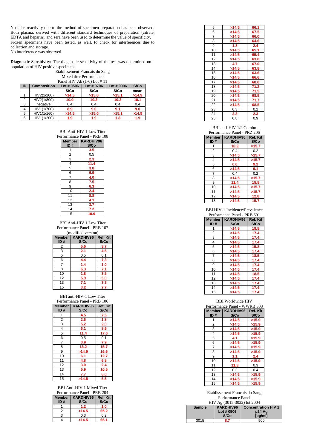No false reactivity due to the method of specimen preparation has been observed. Both plasma, derived with different standard techniques of preparation (citrate, EDTA and heparin), and sera have been used to determine the value of specificity. Frozen specimens have been tested, as well, to check for interferences due to collection and storage. No interference was observed.

**Diagnostic Sensitivity:** The diagnostic sensitivity of the test was determined on a population of HIV positive specimens.

# Etablissement Francais du Sang Mixed titer Performance

| Panel HIV Ab $(1-6)$ Lot # 11 |                    |            |            |            |       |  |
|-------------------------------|--------------------|------------|------------|------------|-------|--|
| ID                            | <b>Composition</b> | Lot # 0506 | Lot # 0706 | Lot # 0906 | S/Co  |  |
|                               |                    | S/Co       | S/Co       | S/Co       | mean  |  |
|                               | HIV2(1/200)        | >14.5      | >15.0      | >15.1      | >14.9 |  |
| 2                             | HIV2(1/800)        | 10.0       | 10.2       | 10.2       | 10.1  |  |
| 3                             | negative           | 0.4        | 0.4        | 0.4        | 0.4   |  |
| 4                             | HIV1(1/700)        | 8.9        | 9.0        | 9.1        | 9.0   |  |
| 5                             | HIV1(1/160)        | >14.5      | >15.0      | >15.1      | >14.9 |  |
| 6                             | HIV1(1/200)        | 1.9        | 1.9        | 1.8        | 1.9   |  |

BBI Anti-HIV 1 Low Titer

|                | Performance Panel - PRB 108 |  |
|----------------|-----------------------------|--|
| <b>Member</b>  | KARDHIV96                   |  |
| ID#            | S/Co                        |  |
| 1              | 3.5                         |  |
| $\overline{2}$ | 0.5                         |  |
| 3              | 2.3                         |  |
| 4              | 11.4                        |  |
| 5              | 3.8                         |  |
| 6              | 6.9                         |  |
| 7              | 4.0                         |  |
| 8              | 7.5                         |  |
| 9              | 6.3                         |  |
| 10             | 2.4                         |  |
| 11             | 8.8                         |  |
| 12             | 4.1                         |  |
| 13             | 3.7                         |  |
| 14             | 7.2                         |  |
| 15             | 10.9                        |  |

BBI Anti-HIV 1 Low Titer Performance Panel - PRB 107

| (modified version) |                               |      |  |  |
|--------------------|-------------------------------|------|--|--|
|                    | Member   KARDHIV96   Ref. Kit |      |  |  |
| ID#                | S/Co                          | S/Co |  |  |
| 2                  | 5.6                           | 3.7  |  |  |
| 3                  | 2.1                           | 4.5  |  |  |
| 5                  | 0.5                           | 0.1  |  |  |
| 6                  | 4.4                           | 7.3  |  |  |
| 7                  | 1.4                           | 1.0  |  |  |
| 8                  | 6.3                           | 7.1  |  |  |
| 10                 | 1.8                           | 3.5  |  |  |
| 12                 | 5.9                           | 5.0  |  |  |
| 13                 | 7.1                           | 3.3  |  |  |
| 15                 | 3.2                           | 2.7  |  |  |

# BBI anti-HIV-1 Low Titer

| Performance Panel - PRB 106 |                               |      |  |  |  |
|-----------------------------|-------------------------------|------|--|--|--|
|                             | Member   KARDHIV96   Ref. Kit |      |  |  |  |
| ID#                         | S/Co                          | S/Co |  |  |  |
| 1                           | 4.5                           | 7.5  |  |  |  |
| 2                           | 2.6                           | 1.8  |  |  |  |
| 3                           | 5.2                           | 2.0  |  |  |  |
| 4                           | 6.1                           | 8.9  |  |  |  |
| 5                           | 11.4                          | 17.6 |  |  |  |
| 6                           | 0.5                           | 0.1  |  |  |  |
| $\overline{7}$              | 3.9                           | 7.9  |  |  |  |
| 8                           | 13.2                          | 15.7 |  |  |  |
| 9                           | >14.5                         | 16.6 |  |  |  |
| 10                          | 6.1                           | 12.7 |  |  |  |
| 11                          | 4.8                           | 6.8  |  |  |  |
| 12                          | 3.0                           | 2.4  |  |  |  |
| 13                          | 5.9                           | 10.5 |  |  |  |
| 14                          | 7.7                           | 6.0  |  |  |  |
| 15                          | >14.5                         | 5.5  |  |  |  |

BBI Anti-HIV 1 Mixed Titer

| Performance Panel - PRB 204 |                               |      |  |  |  |
|-----------------------------|-------------------------------|------|--|--|--|
|                             | Member   KARDHIV96   Ref. Kit |      |  |  |  |
| ID#                         | S/Co                          | S/Co |  |  |  |
|                             | 1.2                           | 1.0  |  |  |  |
|                             | >14.5                         | 65.2 |  |  |  |
| 3                           | 0.3                           | 0.2  |  |  |  |
|                             | >14.5                         | 65.1 |  |  |  |

| 5  | >14.5 | 66.1 |
|----|-------|------|
| 6  | >14.5 | 67.5 |
| 7  | >14.5 | 66.0 |
| 8  | >14.5 | 64.6 |
| 9  | 1.3   | 2.4  |
| 10 | >14.5 | 65.1 |
| 11 | >14.5 | 65.4 |
| 12 | >14.5 | 63.8 |
| 13 | 4.7   | 67.0 |
| 14 | >14.5 | 63.8 |
| 15 | >14.5 | 63.6 |
| 16 | >14.5 | 66.6 |
| 17 | >14.5 | 68.8 |
| 18 | >14.5 | 71.2 |
| 19 | >14.5 | 71.5 |
| 20 | >14.5 | 68.5 |
| 21 | >14.5 | 71.7 |
| 22 | >14.5 | 68.5 |
| 23 | 0.3   | 0.2  |
| 24 | 2.3   | 2.3  |
| 25 | 0.8   | 0.9  |

# BBI anti-HIV 1/2 Combo

| Performance Panel - PRZ 206 |  |  |
|-----------------------------|--|--|
|                             |  |  |

| <b>Member</b><br>ID# | KARDHIV96<br>S/Co | Ref. Kit<br>S/Co |
|----------------------|-------------------|------------------|
|                      | 10.2              | >15.7            |
| $\overline{2}$       | 0.4               | 0.2              |
| 3                    | >14.5             | >15.7            |
| 4                    | >14.5             | >15.7            |
| 5                    | 6.6               | 9.2              |
| 6                    | >14.5             | 9.1              |
| $\overline{7}$       | 0.4               | 0.2              |
| 8                    | >14.5             | >15.7            |
| 9                    | 11.4              | 15.5             |
| 10                   | >14.5             | >15.7            |
| 11                   | >14.5             | >15.7            |
| 12                   | >14.5             | 12.8             |
| 13                   | >14.5             | 15.7             |

BBI HIV-1 Incidence/Prevalence Performance Panel - PRB 601

| <b>Member</b><br>ID#    | KARDHIV96<br>S/Co | Ref. Kit<br>S/Co |
|-------------------------|-------------------|------------------|
| 1                       | >14.5             | 18.5             |
| $\overline{\mathbf{c}}$ | >14.5             | 17.4             |
| 3                       | >14.5             | 17.4             |
| 4                       | >14.5             | 17.4             |
| 5                       | >14.5             | 15.8             |
| 6                       | >14.5             | 17.4             |
| 7                       | >14.5             | 18.5             |
| 8                       | >14.5             | 17.4             |
| 9                       | >14.5             | 17.4             |
| 10                      | >14.5             | 17.4             |
| 11                      | >14.5             | 18.5             |
| 12                      | >14.5             | 17.4             |
| 13                      | >14.5             | 17.4             |
| 14                      | >14.5             | 17.4             |
| 15                      | >14.5             | 17.4             |

# BBI Worldwide HIV

| Performance Panel - WWRB 303 |                    |       |
|------------------------------|--------------------|-------|
| Member                       | KARDHIV96 Ref. Kit |       |
| ID#                          | S/Co               | S/Co  |
| 1                            | >14.5              | >15.9 |
| 2                            | >14.5              | >15.9 |
| 3                            | >14.5              | >15.9 |
| $\overline{\mathbf{4}}$      | >14.5              | >15.9 |
| 5                            | 4.1                | >15.9 |
| 6                            | >14.5              | >15.9 |
| 7                            | >14.5              | >15.9 |
| 8                            | >14.5              | >15.9 |
| 9                            | 1.1                | 2.4   |
| 10                           | >14.5              | >15.9 |
| 11                           | 11.3               | 0.3   |
| 12                           | 0.3                | 0.4   |
| 13                           | >14.5              | >15.9 |
| 14                           | >14.5              | >15.9 |
| 15                           | >14.5              | >15.9 |

# Etablissement Francais du Sang Performance Panel

| HIV Ag (3015-3022) lot 2004 |            |                            |
|-----------------------------|------------|----------------------------|
| <b>Sample</b>               | KARDHIV96  | <b>Concentration HIV 1</b> |
|                             | Lot # 0506 | p24 Ag                     |
|                             | S/Co       | [pg/ml]                    |
| 3015                        | 8.7        | 500                        |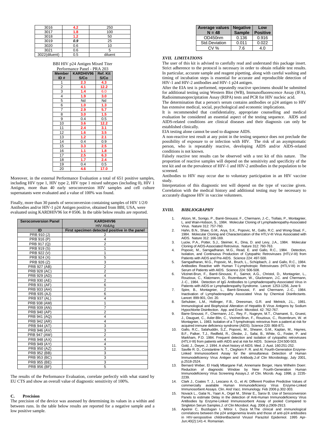| 3016          | 4.2 | 250     |
|---------------|-----|---------|
| 3017          | 1.8 | 100     |
| 3018          | 1.2 | 50      |
| 3019          | 0.9 | 25      |
| 3020          | 0.6 | 10      |
| 3021          | 0.6 |         |
| 3022(diluent) | 0.5 | diluent |

BBI HIV p24 Antigen Mixed Titer

| Performance Panel - PRA 203 |                   |                  |
|-----------------------------|-------------------|------------------|
| Member<br>ID#               | KARDHIV96<br>S/Co | Ref. Kit<br>S/Co |
| 1                           | 2.3               | 4.3              |
| $\overline{2}$              | 4.1               | 12.2             |
| 3                           | 1.4               | 6.0              |
| 4                           | 1.9               | 3.0              |
| 5                           | Nd                | Nd               |
| 6                           | 1.0               | 1.3              |
| 7                           | 2.9               | 5.7              |
| $\bar{\mathbf{8}}$          | 3.0               | 1.5              |
| 9                           | 0.4               | 0.5              |
| 10                          | 3.6               | 12.2             |
| 11                          | 2.4               | 3.1              |
| $\overline{12}$             | 1.6               | 3.5              |
| 13                          | 1.2               | 2.1              |
| 14                          | 0.4               | $\overline{0.9}$ |
| 15                          | 3.3               | 2.5              |
| 16                          | 1.1               | 1.8              |
| $\overline{17}$             | 2.5               | 6.3              |
| 18                          | 1.7               | 2.4              |
| 19                          | 0.4               | 0.5              |
| 20                          | 4.6               | 17.0             |

Moreover, in the external Performance Evaluation a total of 651 positive samples, including HIV type 1, HIV type 2, HIV type 1 mixed subtypes (including 0), HIV 1 Antigen, more than 40 early seroconversion HIV samples and cell culture supernatants were evaluated and a value of 100% was found.

Finally, more than 30 panels of seroconversion containing samples of HIV 1/2/0 Antibodies and/or HIV-1 p24 Antigen positive, obtained from BBI, USA, were evaluated using KARDHIV96 lot # 0506. In the table below results are reported.

| <b>Seroconversion Panel</b> | KARDHIV96<br>HIV Ab&Ag                        |
|-----------------------------|-----------------------------------------------|
| ID                          | First specimen detected positive in the panel |
| PRB 910 (J)                 | 2                                             |
| PRB 916 (P)                 | 4                                             |
| PRB 917 (Q)                 | $\overline{2}$                                |
| PRB 919 (S)                 | 1                                             |
| PRB 922 (V)                 | 1                                             |
| PRB 924 (X)                 | 5                                             |
| PRB 926 (Z)                 | 3                                             |
| PRB 927 (AB)                | $\overline{2}$                                |
| PRB 928 (AC)                | $\overline{2}$                                |
| PRB 929 (AD)                | 4                                             |
| PRB 930 (AE)                | $\overline{2}$                                |
| PRB 931 (AF)                | 6                                             |
| PRB 933 (AH)                | $\overline{2}$                                |
| PRB 935 (AJ)                | 6                                             |
| PRB 937 (AL)                | 4                                             |
| PRB 938 (AM)                | 1                                             |
| PRB 939 (AN)                | $\overline{7}$                                |
| PRB 940 (AP)                | $\overline{2}$                                |
| PRB 941 (AQ)                | $\overline{\mathbf{4}}$                       |
| PRB 942 (AR)                | 4                                             |
| PRB 944 (AT)                | 3                                             |
| PRB 946 (AV)                | 3                                             |
| PRB 947 (AW)                | $\overline{2}$                                |
| PRB 948 (AX)                | 4                                             |
| PRB 949 (AY)                | 4                                             |
| PRB 950 (AZ)                | 3                                             |
| PRB 952 (BB)                | 3                                             |
| PRB 953 (BC)                | 3                                             |
| PRB 955 (BE)                | 3                                             |
| PRB 956 (BF)                | 5                                             |

The results of the Performance Evaluation, correlate perfectly with what stated by EU CTS and show an overall value of diagnostic sensitivity of 100%.

# **C. Precision**

The precision of the device was assessed by determining its values in a within and between runs. In the table below results are reported for a negative sample and a low positive sample.

| Average values<br>$N = 48$ | <b>Negative</b><br><b>Sample</b> | Low<br><b>Positive</b> |
|----------------------------|----------------------------------|------------------------|
| OD450nm                    | 0.136                            | 0.916                  |
| Std.Deviation              | 0.011                            | 0.022                  |
| CV %                       | 7 6                              | 4 በ                    |

# *XVII. LIMITATIONS*

The user of this kit is advised to carefully read and understand this package insert. Strict adherence to the protocol is necessary in order to obtain reliable test results. In particular, accurate sample and reagent pipetting, along with careful washing and timing of incubation steps is essential for accurate and reproducible detection of HIV-1 and HIV-2 antibodies and HIV-1 p24 antigen.

After the EIA test is performed, repeatedly reactive specimens should be submitted for additional testing using Western Blot (WB), Immunofluorescence Assay (IFA), Radioimmunoprecipitation Assay (RIPA) tests and PCR for HIV nucleic acid.

The determination that a person's serum contains antibodies or p24 antigen to HIV has extensive medical, social, psychological and economic implications.

It is recommended that confidentiality, appropriate counselling and medical evaluation be considered an essential aspect of the testing sequence. AIDS and AIDS-related conditions are clinical diseases and their diagnosis can only be established clinically.

EIA testing alone cannot be used to diagnose AIDS.

A non-reactive test result at any point in the testing sequence does not preclude the possibility of exposure to or infection with HIV. The risk of an asymptomatic person, who is repeatably reactive, developing AIDS and/or AIDS-related conditions is not known.

Falsely reactive test results can be observed with a test kit of this nature. The proportion of reactive samples will depend on the sensitivity and specificity of the test kit and on the prevalence of HIV-1 and HIV-2 antibodies in the population to be screened.

Antibodies to HIV may occur due to voluntary participation in an HIV vaccine study.

Interpretation of this diagnostic test will depend on the type of vaccine given. Correlation with the medical history and additional testing may be necessary to accurately diagnose HIV in vaccine volunteers.

#### *XVIII. BIBLIOGRAPHY*

- 1. Alizon, M., Sonigo, P., Barré-Sinoussi, F., Chermann, J.-C., Tiollais, P., Montagnier, L. and Wain-Hobson, S., 1984. Molecular Cloning of Lymphadenopathy-Associated Virus. Nature 312: 757-760.
- 2. Hahn, B.N., Shaw, G.M., Arya, S.K., Popovic, M., Gallo, R.C. and Wong-Staal, F., 1984. Molecular Cloning and Characterization of the HTLV-III Virus Associated with AIDS. Nature 312: 166-169.
- 3. Luciw, P.A., Potter, S.J., Steimer, K., Dina, D. and Levy, J.A., 1984. Molecular Cloning of AIDS-Associated Retrovirus. Nature 312: 760-763.
- 4. Popovic, M., Sarngadharan, M.G., Read, E. and Gallo, R.C., 1984. Detection, Isolation, and Continuous Production of Cytopathic Retroviruses (HTLV-III) from Patients with AIDS and Pre-AIDS. Science 224: 497-500.
- 5. Sarngadharan, M.G., Popovic, M., Bruch, L., Schüpbach, J. and Gallo, R.C., 1984. Antibodies Reactive with Human T-Lymphotropic Retroviruses (HTLV-III) in the Serum of Patients with AIDS. Science 224: 506-508.
- 6. Vézinet-Brun, F., Barré-Sinoussi, F., Saimot, A.G., Christol, D., Montagnier, L., Rouzioux, C., Klatzmann, D., Rozenbaum, W., Gluckmann, J.C. and Chermann, J.-C., 1984. Detection of IgG Antibodies to Lymphadenopathy-Associated Virus in Patients with AIDS or Lymphadenopathy Syndrome. Lancet: 1253-1256, June 9.
- 7. Spire, B., Montagnier, L., Barré-Sinoussi, F. and Chermann, J.-C., 1984. Inactivation of Lymphadenopathy Associated Virus by Chemical Disinfectants. Lancet: 899-901, Oct. 20.
- 8. Sehulster, L.M., Hollinger, F.B., Dreesman, G.R. and Melnick, J.L., 1981. Immunological and Biophysical Alteration of Hepatitis B Virus Antigens by Sodium Hypochlorite Disinfection. App. and Envir. Microbiol. 42: 762-767.
- 9. Barre-Sinoussi, F., Chermann, J.C., Rey, F., Nugeyre, M.T., Chamaret, S., Gruest, J., Dauguet, C., Axler-Blin, C., Vezinet-Brun, F., Rouzioux, C., Rozenbrum, W. et Montagnier, L. 1983. Isolation of a T-lymphotropic retrovirus from a patient at risk for<br>acquired immune deficiency syndrome (AIDS). Science 220: 868-871.<br>10. Gallo, R.C., Salahuddin, S.Z., Popovic, M., Shearer, G.M., Kapl
- B.F., Palker, T.J., Redfield, R., Oleske, J., Safai, B., White, G., Foster, P. and Markham, P.D. 1984. Frequent detection and isolation of cytopathic retroviruses (HTLV-III) from patients with AIDS and at risk for AIDS. Science 224:500-503.
- 11. Gold, J., Dwyer, J. 1994. A short history of AIDS. Med. J. Aust. 160:251-252.
- Saville R. D., Constantine N. T., Cleghorn F. R. and Al. Fourth-Generation Enzyme-Linked Immunosorbent Assay for the simoultaneus Detection of Human Immunodeficiency Virus Antigen and Antibody.J.of Clin Microbiology, July 2001, p.2518-2524.
- 13. Bernard Weber, El Hadij Mbargane Fall, Annemarie Berger, Hans Wilhelm Doerr. Reduction of diagnostic Window by New Fourth-Generation Human Immunodeficiency Virus Screening Assays.J. of Clin. Microb. Aug. 1998, p. 2235- 2239.
- 14. Clark J., Coates T. J., Lescano A. G., et Al. Different Positive Predictive Values of commercially available Human Immunodeficiency Virus Enzyme-Linked Immunosorbent Assays. Clin. And Vacc. Immunology. Feb 2006 p.302-303.
- 15. Novack L., Galai N., Yaari A., Orgel M., Shinar E., Sarov B. Use of Seroconversion Panels to estimate Delay in the detection of Anti-Human Immunodeficiency Virus Antibodies by Enzyme-Linked Immunosorbent Assay of pooled Compared to
- Singleton Serum Samples.J. of Clin Microbiol. Aug. 2006 p.2909-2913. 16. Apetrei C, Buzdugan I, Mitroi I, Duca M.The clinical and immunological correlations between the p24 antigenemia levels and those of anti-p24 antibodies in HIV-seropositive childrenBacteriol Virusol Parazitol Epidemiol. 1995 Apr-Jun;40(2):141-4. Romanian.